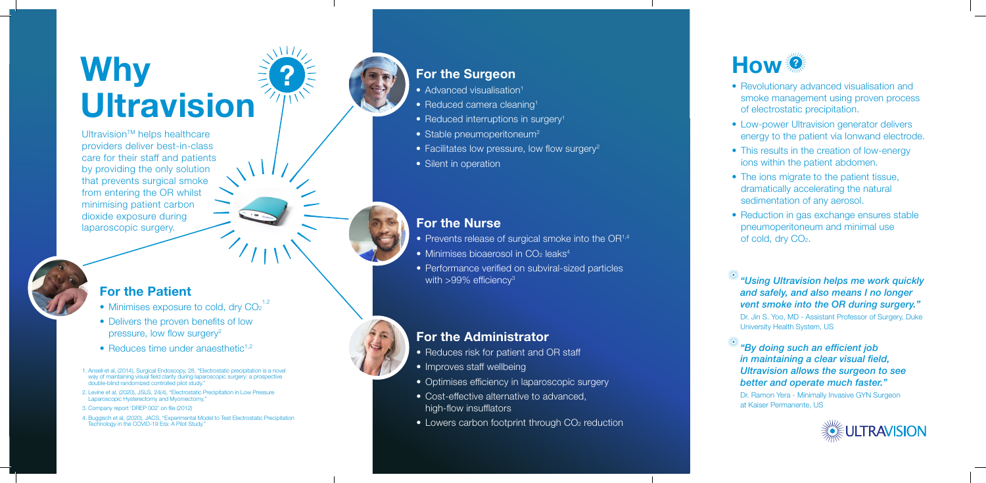### **For the Patient**

 $U$ Itravision<sup>™</sup> helps healthcare providers deliver best-in-class care for their staff and patients by providing the only solution that prevents surgical smoke from entering the OR whilst minimising patient carbon dioxide exposure during laparoscopic surgery.

# **Why Ultravision**

### **For the Nurse**

- Prevents release of surgical smoke into the  $OR<sup>1,4</sup>$
- Minimises bioaerosol in  $CO<sub>2</sub>$  leaks<sup>4</sup>
- Performance verified on subviral-sized particles with >99% efficiency $^3$

### **For the Administrator**

- Reduces risk for patient and OR staff
- Improves staff wellbeing
- Optimises efficiency in laparoscopic surgery
- Cost-effective alternative to advanced, high-flow insufflators
- Lowers carbon footprint through CO<sub>2</sub> reduction
- Minimises exposure to cold, dry CO<sub>2</sub> 1,2
- Delivers the proven benefits of low pressure, low flow surgery<sup>2</sup>
- Reduces time under anaesthetic<sup>1,2</sup>
- 1. Ansell et al, (2014), Surgical Endoscopy, 28, "Electrostatic precipitation is a novel way of maintaining visual field clarity during laparoscopic surgery: a prospective double-blind randomized controlled pilot study."
- 2. Levine et al, (2020), JSLS, 24(4), "Electrostatic Precipitation in Low Pressure Laparoscopic Hysterectomy and Myomectomy."
- 3. Company report 'DREP 002' on file (2012)
- 4. Buggisch et al, (2020), JACS, "Experimental Model to Test Electrostatic Precipitation Technology in the COVID-19 Era: A Pilot Study."

### **For the Surgeon**

- Advanced visualisation<sup>1</sup>
- Reduced camera cleaning<sup>1</sup>
- Reduced interruptions in surgery<sup>1</sup>
- Stable pneumoperitoneum<sup>2</sup>
- Facilitates low pressure, low flow surgery<sup>2</sup>
- Silent in operation

### **How ?**

- Revolutionary advanced visualisation and smoke management using proven process of electrostatic precipitation.
- Low-power Ultravision generator delivers energy to the patient via Ionwand electrode.
- This results in the creation of low-energy ions within the patient abdomen.
- The ions migrate to the patient tissue, dramatically accelerating the natural sedimentation of any aerosol.
- Reduction in gas exchange ensures stable pneumoperitoneum and minimal use of cold, dry CO 2 .

### *"Using Ultravision helps me work quickly and safely, and also means I no longer vent smoke into the OR during surgery."*

Dr. Jin S. Yoo, MD - Assistant Professor of Surgery, Duke University Health System, US

### *"By doing such an efficient job in maintaining a clear visual field, Ultravision allows the surgeon to see better and operate much faster."*

Dr. Ramon Yera - Minimally Invasive GYN Surgeon at Kaiser Permanente, US